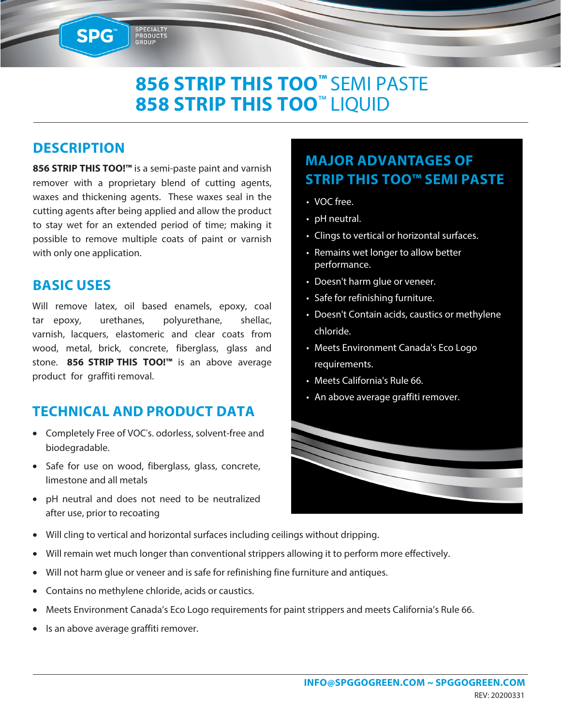# **856 STRIP THIS TOO™** SEMI PASTE **858 STRIP THIS TOO**™ LIQUID

#### **DESCRIPTION**

SPG™

**856 STRIP THIS TOO!™** is a semi-paste paint and varnish remover with a proprietary blend of cutting agents, waxes and thickening agents. These waxes seal in the cutting agents after being applied and allow the product to stay wet for an extended period of time; making it possible to remove multiple coats of paint or varnish with only one application.

SPECIALTY<br>PRODUCTS<br>GROUP

#### **BASIC USES**

Will remove latex, oil based enamels, epoxy, coal tar epoxy, urethanes, polyurethane, shellac, varnish, lacquers, elastomeric and clear coats from wood, metal, brick, concrete, fiberglass, glass and stone. **856 STRIP THIS TOO!™** is an above average product for graffiti removal.

### **TECHNICAL AND PRODUCT DATA**

- Completely Free of VOC's. odorless, solvent-free and biodegradable.
- Safe for use on wood, fiberglass, glass, concrete, limestone and all metals
- pH neutral and does not need to be neutralized after use, prior to recoating

# **MAJOR ADVANTAGES OF STRIP THIS TOO™ SEMI PASTE**

- VOC free.
- pH neutral.
- Clings to vertical or horizontal surfaces.
- Remains wet longer to allow better performance.
- Doesn't harm glue or veneer.
- Safe for refinishing furniture.
- Doesn't Contain acids, caustics or methylene chloride.
- Meets Environment Canada's Eco Logo requirements.
- Meets California's Rule 66.
- An above average graffiti remover.



- Will cling to vertical and horizontal surfaces including ceilings without dripping.
- Will remain wet much longer than conventional strippers allowing it to perform more effectively.
- Will not harm glue or veneer and is safe for refinishing fine furniture and antiques.
- Contains no methylene chloride, acids or caustics.
- Meets Environment Canada's Eco Logo requirements for paint strippers and meets California's Rule 66.
- Is an above average graffiti remover.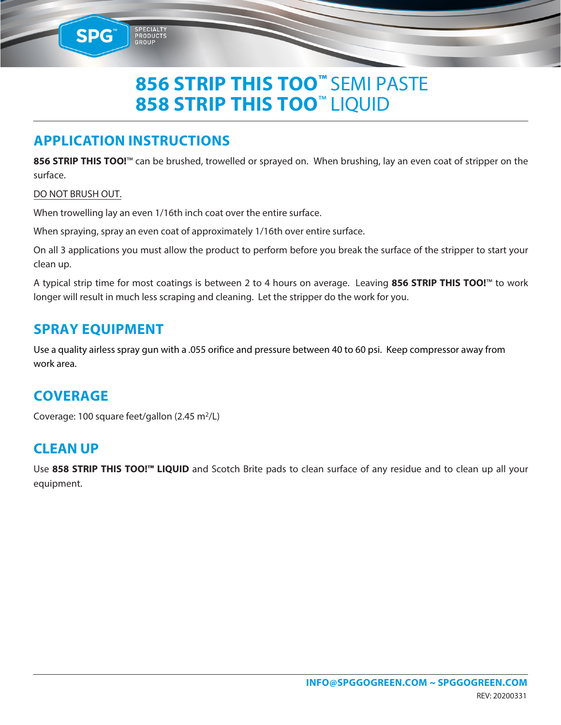# **856 STRIP THIS TOO™** SEMI PASTE **858 STRIP THIS TOO**™ LIQUID

## **APPLICATION INSTRUCTIONS**

PRODUCTS

**856 STRIP THIS TOO!**™ can be brushed, trowelled or sprayed on. When brushing, lay an even coat of stripper on the surface.

#### DO NOT BRUSH OUT.

SPG<sup>®</sup>

When trowelling lay an even 1/16th inch coat over the entire surface.

When spraying, spray an even coat of approximately 1/16th over entire surface.

On all 3 applications you must allow the product to perform before you break the surface of the stripper to start your clean up.

A typical strip time for most coatings is between 2 to 4 hours on average. Leaving **856 STRIP THIS TOO!**™ to work longer will result in much less scraping and cleaning. Let the stripper do the work for you.

#### **SPRAY EQUIPMENT**

Use a quality airless spray gun with a .055 orifice and pressure between 40 to 60 psi. Keep compressor away from work area.

### **COVERAGE**

Coverage: 100 square feet/gallon (2.45 m<sup>2</sup>/L)

#### **CLEAN UP**

Use **858 STRIP THIS TOO!™ LIQUID** and Scotch Brite pads to clean surface of any residue and to clean up all your equipment.